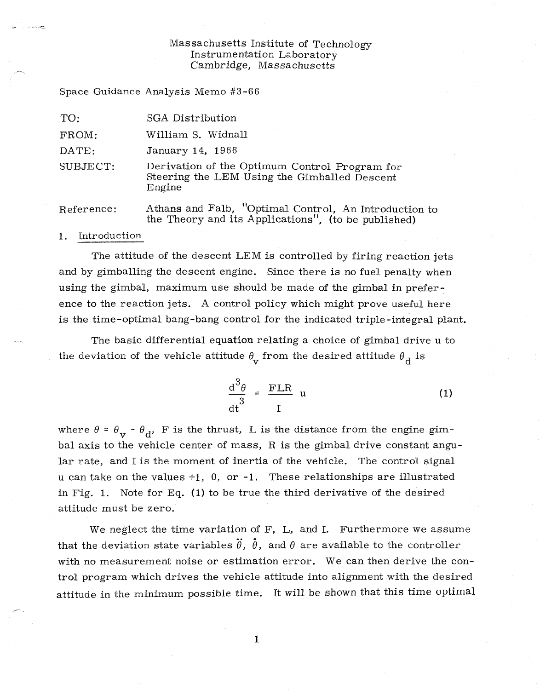#### Massachusetts Institute of Technology Instrumentation Laboratory Cambridge, Massachusetts

Space Guidance Analysis Memo #3-66

| TO:        | SGA Distribution                                                                                             |
|------------|--------------------------------------------------------------------------------------------------------------|
| FROM:      | William S. Widnall                                                                                           |
| DATE:      | January 14, 1966                                                                                             |
| SUBJECT:   | Derivation of the Optimum Control Program for<br>Steering the LEM Using the Gimballed Descent<br>Engine      |
| Reference: | Athans and Falb, "Optimal Control, An Introduction to<br>the Theory and its Applications", (to be published) |

#### 1. Introduction

The attitude of the descent LEM is controlled by firing reaction jets and by gimballing the descent engine. Since there is no fuel penalty when using the gimbal, maximum use should be made of the gimbal in preference to the reaction jets. A control policy which might prove useful here is the time-optimal bang-bang control for the indicated triple-integral plant.

The basic differential equation relating a choice of gimbal drive u to the deviation of the vehicle attitude  $\theta_{\text{v}}$  from the desired attitude  $\theta_{\text{d}}$  is

$$
\frac{d^3 \theta}{dt^3} = \frac{FLR}{I} u \tag{1}
$$

where  $\theta = \theta_{\mathbf{v}} - \theta_{\mathbf{d}}$ , F is the thrust, L is the distance from the engine gimbal axis to the vehicle center of mass, R is the gimbal drive constant angular rate, and I is the moment of inertia of the vehicle. The control signal u can take on the values  $+1$ , 0, or  $-1$ . These relationships are illustrated in Fig. 1. Note for Eq.  $(1)$  to be true the third derivative of the desired attitude must be zero.

We neglect the time variation of F, L, and I. Furthermore we assume that the deviation state variables  $\ddot{\theta}$ ,  $\ddot{\theta}$ , and  $\theta$  are available to the controller with no measurement noise or estimation error. We can then derive the control program which drives the vehicle attitude into alignment with the desired attitude in the minimum possible time. It will be shown that this time optimal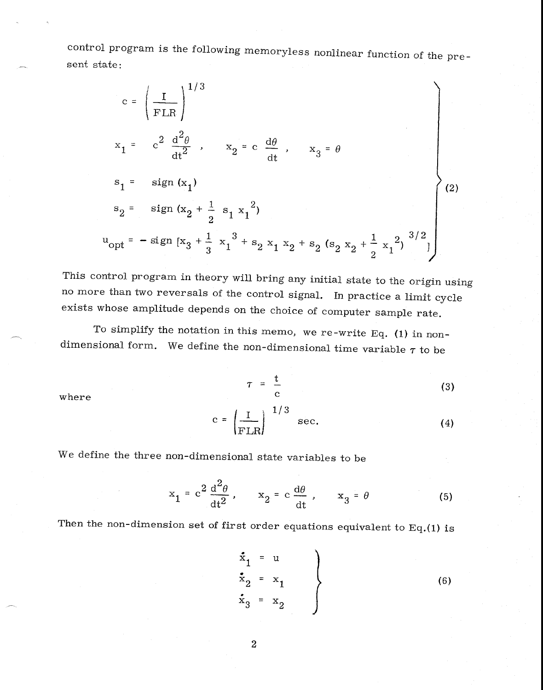control program is the following memoryless nonlinear function of the present state:

$$
c = \left(\frac{I}{FLR}\right)^{1/3}
$$
  
\n
$$
x_1 = c^2 \frac{d^2\theta}{dt^2}, \quad x_2 = c \frac{d\theta}{dt}, \quad x_3 = \theta
$$
  
\n
$$
s_1 = sign(x_1)
$$
  
\n
$$
s_2 = sign(x_2 + \frac{1}{2} s_1 x_1^2)
$$
  
\n
$$
u_{opt} = -sign[x_3 + \frac{1}{3} x_1^3 + s_2 x_1 x_2 + s_2 (s_2 x_2 + \frac{1}{2} x_1^2)^{3/2}]
$$
  
\n(2)

This control program in theory will bring any initial state to the origin using no more than two reversals of the control signal. In practice a limit cycle exists whose amplitude depends on the choice of computer sample rate.

To simplify the notation in this memo, we re-write Eq. (1) in nondimensional form. We define the non-dimensional time variable  $\tau$  to be

where

$$
\tau = \frac{t}{c} \tag{3}
$$

$$
c = \left(\frac{I}{FLR}\right)^{1/3} \text{ sec.}
$$
 (4)

We define the three non-dimensional state variables to be

$$
x_1 = c^2 \frac{d^2 \theta}{dt^2}, \qquad x_2 = c \frac{d\theta}{dt}, \qquad x_3 = \theta \tag{5}
$$

Then the non-dimension set of first order equations equivalent to  $Eq.(1)$  is

$$
\begin{cases}\n\dot{x}_1 = u \\
\dot{x}_2 = x_1 \\
\dot{x}_3 = x_2\n\end{cases}
$$
\n(6)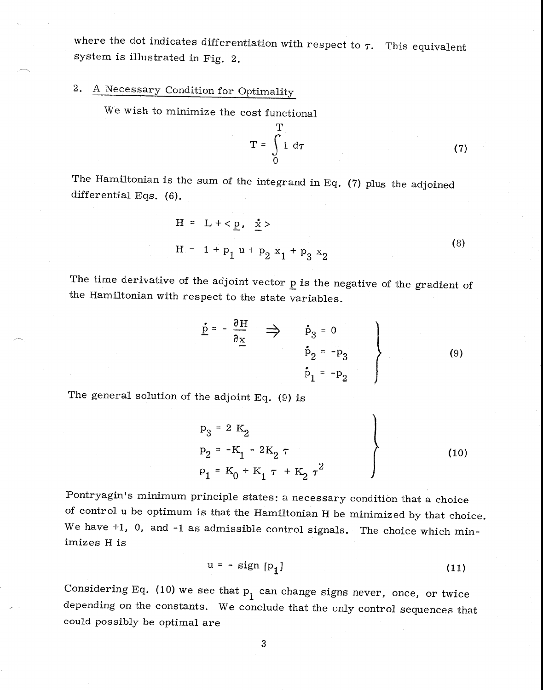where the dot indicates differentiation with respect to  $\tau$ . This equivalent system is illustrated in Fig. 2.

# 2. A Necessary Condition for Optimality

We wish to minimize the cost functional

$$
T = \int_{0}^{T} 1 d\tau
$$
 (7)

The Hamiltonian is the sum of the integrand in Eq.  $(7)$  plus the adjoined differential Eqs. (6).

$$
H = L + p, x \nH = 1 + p1 u + p2 x1 + p3 x2
$$
\n(8)

The time derivative of the adjoint vector  $\underline{p}$  is the negative of the gradient of the Hamiltonian with respect to the state variables.

$$
\underline{\dot{p}} = -\frac{\partial H}{\partial \underline{x}} \implies \dot{p}_3 = 0
$$
\n
$$
\dot{p}_2 = -p_3
$$
\n
$$
\dot{p}_1 = -p_2
$$
\n(9)

The general solution of the adjoint Eq. (9) is

$$
p_3 = 2 K_2
$$
  
\n
$$
p_2 = -K_1 - 2K_2 \tau
$$
  
\n
$$
p_1 = K_0 + K_1 \tau + K_2 \tau^2
$$
 (10)

Pontryagin's minimum principle states: a necessary condition that a choice of control u be optimum is that the Hamiltonian H be minimized by that choice. We have  $+1$ , 0, and  $-1$  as admissible control signals. The choice which minimizes H is

$$
u = - sign [p1] \t\t(11)
$$

Considering Eq. (10) we see that  $p_1$  can change signs never, once, or twice depending on the constants. We conclude that the only control sequences that could possibly be optimal are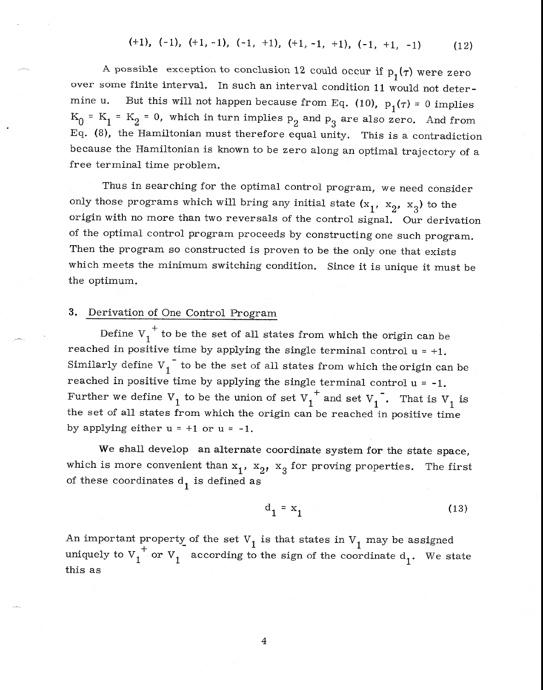A possible exception to conclusion 12 could occur if  $p_1(\tau)$  were zero over some finite interval. In such an interval condition 11 would not determine u. But this will not happen because from Eq. (10),  $p_1(\tau) = 0$  implies  $K_0 = K_1 = K_2 = 0$ , which in turn implies  $p_2$  and  $p_3$  are also zero. And from Eq. (8), the Hamiltonian must therefore equal unity. This is a contradiction because the Hamiltonian is known to be zero along an optimal trajectory of a free terminal time problem.

Thus in searching for the optimal control program, we need consider only those programs which will bring any initial state  $(x_1, x_2, x_3)$  to the origin with no more than two reversals of the control signal. Our derivation of the optimal control program proceeds by constructing one such program. Then the program so constructed is proven to be the only one that exists which meets the minimum switching condition. Since it is unique it must be the optimum.

### 3. Derivation of One Control Program

Define  $V_1^{\dagger}$  to be the set of all states from which the origin can be reached in positive time by applying the single terminal control  $u = +1$ . Similarly define  $V_1$ <sup>-</sup> to be the set of all states from which the origin can be reached in positive time by applying the single terminal control  $u = -1$ . Further we define  $V_1$  to be the union of set  $V_1^+$  and set  $V_1^-$ . That is  $V_1$  is the set of all states from which the origin can be reached in positive time by applying either  $u = +1$  or  $u = -1$ .

We shall develop an alternate coordinate system for the state space, which is more convenient than  $x_1$ ,  $x_2$ ,  $x_3$  for proving properties. The first of these coordinates  $d_1$  is defined as

$$
d_1 = x_1 \tag{13}
$$

An important property of the set  $V_1$  is that states in  $V_1$  may be assigned uniquely to  $V_1^+$  or  $V_1^-$  according to the sign of the coordinate  $d_1$ . We state this as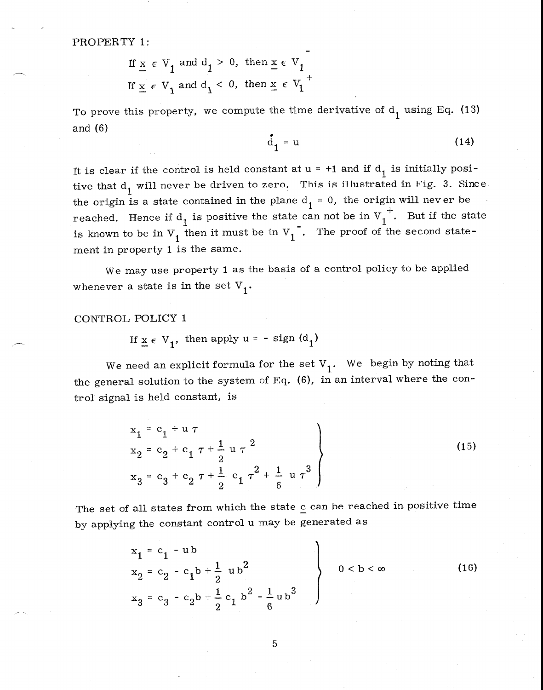PROPERTY 1:

If 
$$
\underline{x} \in V_1
$$
 and  $d_1 > 0$ , then  $\underline{x} \in V_1$   
If  $\underline{x} \in V_1$  and  $d_1 < 0$ , then  $\underline{x} \in V_1$ <sup>+</sup>

To prove this property, we compute the time derivative of  $\rm{d}^{\phantom{\dag}}_1$  using Eq. (13) and (6)

$$
\mathbf{d}_1 = \mathbf{u} \tag{14}
$$

It is clear if the control is held constant at  $u = +1$  and if  $d_1$  is initially positive that  $d_1$  will never be driven to zero. This is illustrated in Fig. 3. Since the origin is a state contained in the plane  $d_1 = 0$ , the origin will never be reached. Hence if  $d_1$  is positive the state can not be in  $V_1^+$ . But if the state is known to be in  $V_1$  then it must be in  $V_1^{\dagger}$ . The proof of the second statement in property 1 is the same.

We may use property 1 as the basis of a control policy to be applied whenever a state is in the set  $V_1$ .

### CONTROL POLICY 1

If  $x \in V_1$ , then apply  $u = - sign(d_1)$ 

We need an explicit formula for the set  $V_1$ . We begin by noting that the general solution to the system of Eq. (6), in an interval where the control signal is held constant, is

$$
x_{1} = c_{1} + u \tau
$$
  
\n
$$
x_{2} = c_{2} + c_{1} \tau + \frac{1}{2} u \tau^{2}
$$
  
\n
$$
x_{3} = c_{3} + c_{2} \tau + \frac{1}{2} c_{1} \tau^{2} + \frac{1}{6} u \tau^{3}
$$
\n(15)

The set of all states from which the state  $\frac{c}{c}$  can be reached in positive time by applying the constant control u may be generated as

$$
x_{1} = c_{1} - ub
$$
\n
$$
x_{2} = c_{2} - c_{1}b + \frac{1}{2}ub^{2}
$$
\n
$$
x_{3} = c_{3} - c_{2}b + \frac{1}{2}c_{1}b^{2} - \frac{1}{6}ub^{3}
$$
\n(16)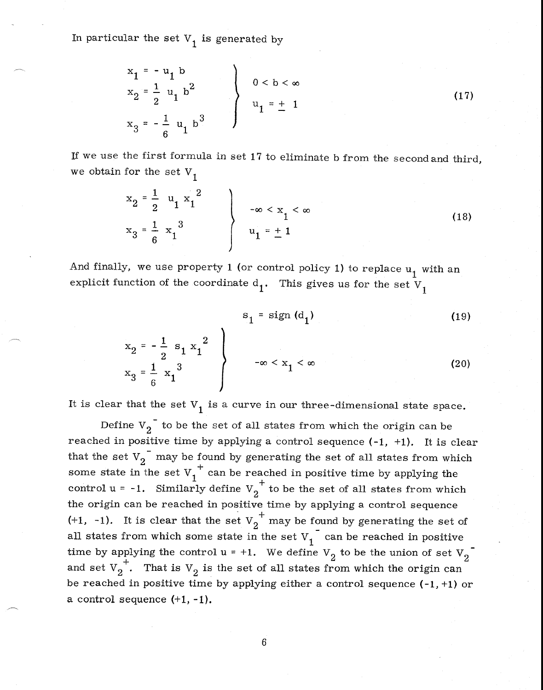In particular the set  $V_1$  is generated by

$$
\begin{cases}\nx_1 = -u_1 b \\
x_2 = \frac{1}{2} u_1 b^2 \\
x_3 = -\frac{1}{6} u_1 b^3\n\end{cases}\n\qquad\n0 < b < \infty
$$
\n(17)

If we use the first formula in set  $17$  to eliminate b from the second and third, we obtain for the set  $V_1$ 

$$
x_{2} = \frac{1}{2} u_{1} x_{1}^{2}
$$
  
\n
$$
x_{3} = \frac{1}{6} x_{1}^{3}
$$
  
\n
$$
u_{1} = \pm 1
$$
\n(18)

And finally, we use property 1 (or control policy 1) to replace  $u_1$  with an explicit function of the coordinate  $d_1$ . This gives us for the set  $V_1$ 

$$
s_1 = sign(d_1) \tag{19}
$$

$$
\begin{array}{c}\n x_2 = -\frac{1}{2} s_1 x_1^2 \\
 x_3 = \frac{1}{6} x_1^3\n\end{array}
$$
\n
$$
\begin{array}{c}\n -\infty < x_1 < \infty \\
 \end{array}
$$
\n(20)

It is clear that the set  $V_1$  is a curve in our three-dimensional state space.

Define  $V_2$ <sup>-</sup> to be the set of all states from which the origin can be reached in positive time by applying a control sequence (-1, +1). It is clear that the set  $V_2$ <sup>-</sup> may be found by generating the set of all states from which some state in the set  $v_1^+$  can be reached in positive time by applying the control  $u = -1$ . Similarly define  $V_2^+$  to be the set of all states from which the origin can be reached in positive time by applying a control sequence (+1, -1). It is clear that the set  $V_2^+$  may be found by generating the set of all states from which some state in the set  $V_i$ <sup>-</sup> can be reached in positive time by applying the control  $u = +1$ . We define  $V_2$  to be the union of set  $V_2$  $2 \cdot$  matrix  $v_2$  is the set of all states if on which the origin can + . That is  $V_2$  is the set of all states from which the origin can be reached in positive time by applying either a control sequence  $(-1, +1)$  or a control sequence (+1, -1).

$$
6\,
$$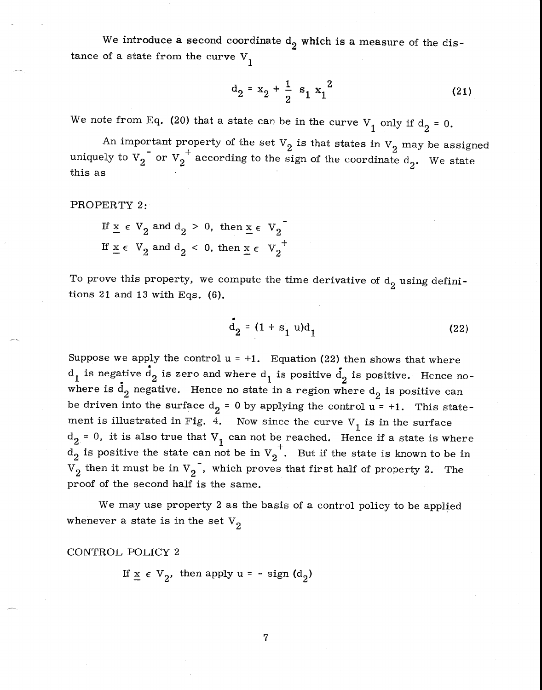We introduce a second coordinate  $d_2$  which is a measure of the distance of a state from the curve  $V_1$ 

$$
d_2 = x_2 + \frac{1}{2} s_1 x_1^2
$$
 (21)

We note from Eq. (20) that a state can be in the curve  $V_1$  only if  $d_2 = 0$ .

An important property of the set  $V_2$  is that states in  $V_2$  may be assigned uniquely to  $V_2$  or  $V_2^+$  according to the sign of the coordinate  $d_2$ . We state this as

PROPERTY 2:

If 
$$
\underline{x} \in V_2
$$
 and  $d_2 > 0$ , then  $\underline{x} \in V_2$   
If  $\underline{x} \in V_2$  and  $d_2 < 0$ , then  $\underline{x} \in V_2^+$ 

To prove this property, we compute the time derivative of  $d<sub>2</sub>$  using definitions 21 and 13 with Eqs.  $(6)$ .

$$
d_2 = (1 + s_1 u)d_1
$$
 (22)

Suppose we apply the control  $u = +1$ . Equation (22) then shows that where  $\mathbf{d}_1$  is negative  $\mathbf{d}_2$  is zero and where  $\mathbf{d}_1$  is positive  $\mathbf{d}_2$  is positive. Hence nowhere is  $\texttt{d}_{\texttt{2}}$  negative. Hence no state in a region where  $\texttt{d}_{\texttt{2}}$  is positive can be driven into the surface  $d_2$  = 0 by applying the control  $u$  = +1. This statement is illustrated in Fig. 4. Now since the curve  $V_1$  is in the surface  $d_2 = 0$ , it is also true that  $V_1$  can not be reached. Hence if a state is where  $d_2$  is positive the state can not be in  $V_2^+$ . But if the state is known to be in  $V_2$  then it must be in  $V_2$ , which proves that first half of property 2. The proof of the second half is the same.

We may use property 2 as the basis of a control policy to be applied whenever a state is in the set  $V_2$ 

CONTROL POLICY 2

If  $\underline{x} \in V_2$ , then apply  $u = -$  sign  $(d_2)$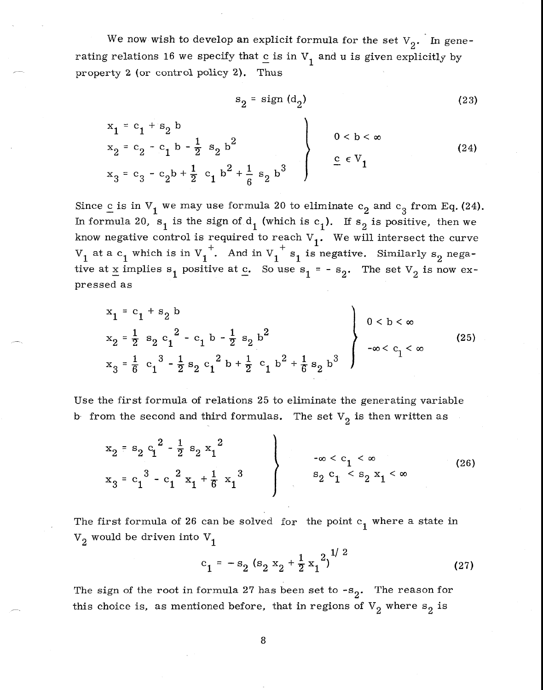We now wish to develop an explicit formula for the set  $V_2$ . In generating relations 16 we specify that  $c$  is in  $V_1$  and u is given explicitly by property 2 (or control policy 2). Thus

$$
s_2 = sign (d_2) \tag{23}
$$

$$
\begin{array}{ccc}\nx_1 &= c_1 + s_2 & b \\
x_2 &= c_2 - c_1 & b - \frac{1}{2} & s_2 & b^2 \\
x_3 &= c_3 - c_2 & b + \frac{1}{2} & c_1 & b^2 + \frac{1}{6} & s_2 & b^3\n\end{array}\n\right\}\n\quad 0 < b < \infty\n\tag{24}
$$

Since c is in  $V_1$  we may use formula 20 to eliminate  $c_2$  and  $c_3$  from Eq. (24). In formula 20,  $s_1$  is the sign of d<sub>1</sub> (which is c<sub>1</sub>). If  $s_2$  is positive, then we know negative control is required to reach  $V_1$ . We will intersect the curve  $V_1$  at a  $c_1$  which is in  $V_1^+$ . And in  $V_1^+$  s<sub>1</sub> is negative. Similarly s<sub>2</sub> negative at x implies  $s_1$  positive at c. So use  $s_1 = -s_2$ . The set  $V_2$  is now expressed as

$$
x_{1} = c_{1} + s_{2} b
$$
\n
$$
x_{2} = \frac{1}{2} s_{2} c_{1}^{2} - c_{1} b - \frac{1}{2} s_{2} b^{2}
$$
\n
$$
x_{3} = \frac{1}{6} c_{1}^{3} - \frac{1}{2} s_{2} c_{1}^{2} b + \frac{1}{2} c_{1} b^{2} + \frac{1}{6} s_{2} b^{3}
$$
\n
$$
(25)
$$

Use the first formula of relations 25 to eliminate the generating variable b from the second and third formulas. The set  $V_2$  is then written as

$$
\begin{array}{c}\nx_2 = s_2 c_1^2 - \frac{1}{2} s_2 x_1^2 \\
x_3 = c_1^3 - c_1^2 x_1 + \frac{1}{6} x_1^3\n\end{array}
$$
\n
$$
\begin{array}{c}\n-\infty < c_1 < \infty \\
s_2 c_1 < s_2 x_1 < \infty\n\end{array}
$$
\n(26)

The first formula of 26 can be solved for the point  $c_1$  where a state in  $V_2$  would be driven into  $V_1$ 

$$
c_1 = -s_2 (s_2 x_2 + \frac{1}{2} x_1^2)^{1/2}
$$
 (27)

The sign of the root in formula 27 has been set to  $-s_2$ . The reason for this choice is, as mentioned before, that in regions of  $V_2$  where  $s_2$  is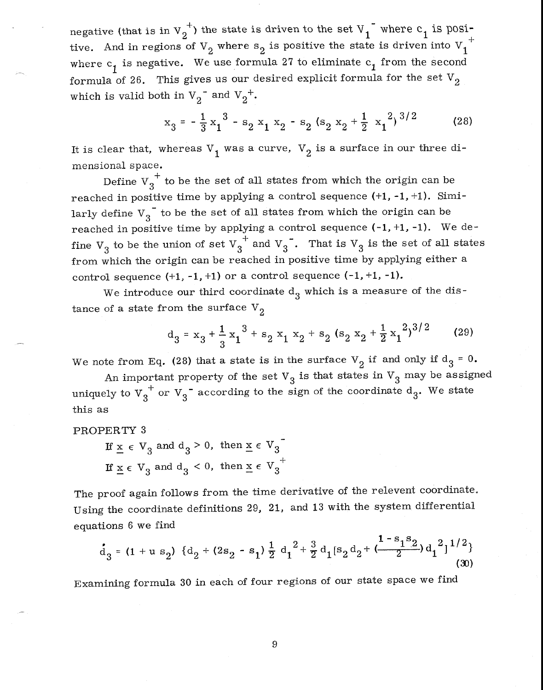negative (that is in  $V_2^+$ ) the state is driven to the set  $V_1^-$  where  $c_1$  is positive. And in regions of  $V_2$  where  $s_2$  is positive the state is driven into  $V_1^{\dagger}$ where  $c_1$  is negative. We use formula 27 to eliminate  $c_1$  from the second formula of 26. This gives us our desired explicit formula for the set  $V_2$  $v_2$ <sup>-</sup> and V<sub>2</sub><sup>+</sup>.

$$
x_3 = -\frac{1}{3}x_1^3 - s_2x_1x_2 - s_2(s_2x_2 + \frac{1}{2}x_1^2)^{3/2}
$$
 (28)

It is clear that, whereas  $V_1$  was a curve,  $V_2$  is a surface in our three dimensional space.

Define  $\operatorname{V_3}^+$  to be the set of all states from which the origin can be reached in positive time by applying a control sequence  $(+1, -1, +1)$ . Similarly define  $V_3$ <sup>-</sup> to be the set of all states from which the origin can be reached in positive time by applying a control sequence  $(-1, +1, -1)$ . We define  $V_3$  to be the union of set  $V_3^{\dagger}$  and  $V_3^{\dagger}$ . That is  $V_3$  is the set of all states from which the origin can be reached in positive time by applying either a control sequence  $(+1, -1, +1)$  or a control sequence  $(-1, +1, -1)$ .

We introduce our third coordinate  $d_3$  which is a measure of the distance of a state from the surface  $V_2$ 

$$
d_3 = x_3 + \frac{1}{3}x_1^3 + s_2 x_1 x_2 + s_2 (s_2 x_2 + \frac{1}{2}x_1^2)^{3/2}
$$
 (29)

We note from Eq. (28) that a state is in the surface  $V_2$  if and only if  $d_3 = 0$ .

An important property of the set  $V_3$  is that states in  $V_3$  may be assigned uniquely to  $V_3^+$  or  $V_3^-$  according to the sign of the coordinate  $d_3$ . We state this as

PROPERTY 3

If  $\underline{x} \in V_3$  and  $d_3 > 0$ , then  $\underline{x} \in V_3$ If  $\underline{x} \in V_3$  and  $d_3 < 0$ , then  $\underline{x} \in V_3$ +

The proof again follows from the time derivative of the relevent coordinate. Using the coordinate definitions 29, 21, and 13 with the system differential equations 6 we find

$$
d_3 = (1 + u s_2) \{d_2 + (2s_2 - s_1) \frac{1}{2} d_1^2 + \frac{3}{2} d_1[s_2 d_2 + \frac{1 - s_1 s_2}{2}) d_1^2\}^{1/2}
$$
(30)

Examining formula 30 in each of four regions of our state space we find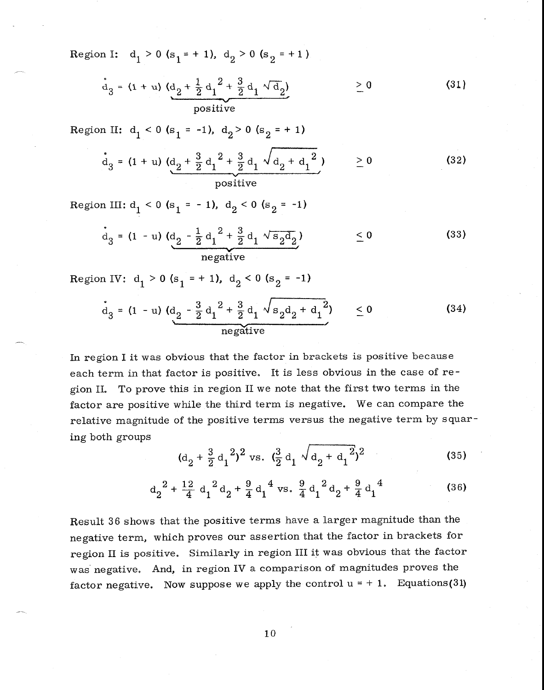Region I:  $d_1 > 0$  (s<sub>1</sub> = + 1),  $d_2 > 0$  (s<sub>2</sub> = +1)

$$
d_3 = (1 + u) (d_2 + \frac{1}{2}d_1^2 + \frac{3}{2}d_1 \sqrt{d_2}) \ge 0
$$
 (31)

Region II:  $d_1 < 0$  (s<sub>1</sub> = -1),  $d_2 > 0$  (s<sub>2</sub> = + 1)

$$
d_3 = (1 + u) (d_2 + \frac{3}{2} d_1^2 + \frac{3}{2} d_1 \sqrt{d_2 + d_1^2}) \ge 0
$$
 (32)

Region III:  $d_1 < 0$  (s<sub>1</sub> = -1),  $d_2 < 0$  (s<sub>2</sub> = -1)

$$
d_3 = (1 - u) (d_2 - \frac{1}{2} d_1^2 + \frac{3}{2} d_1 \sqrt{s_2 d_2}) \le 0
$$
 (33)

Region IV:  $d_1 > 0$  (s<sub>1</sub> = + 1),  $d_2 < 0$  (s<sub>2</sub> = -1)

$$
d_3 = (1 - u) (d_2 - \frac{3}{2}d_1^2 + \frac{3}{2}d_1 \sqrt{s_2d_2 + d_1^2}) \le 0
$$
 (34)  
negative

In region I it was obvious that the factor in brackets is positive because each term in that factor is positive. It is less obvious in the case of region II. To prove this in region II we note that the first two terms in the factor are positive while the third term is negative. We can compare the relative magnitude of the positive terms versus the negative term by squaring both groups

$$
(\mathbf{d}_2 + \frac{3}{2} \mathbf{d}_1^2)^2 \text{ vs. } (\frac{3}{2} \mathbf{d}_1 \sqrt{\mathbf{d}_2 + \mathbf{d}_1^2})^2 \tag{35}
$$

$$
d_2^2 + \frac{12}{4} d_1^2 d_2 + \frac{9}{4} d_1^4
$$
 vs.  $\frac{9}{4} d_1^2 d_2 + \frac{9}{4} d_1^4$  (36)

Result 36 shows that the positive terms have a larger magnitude than the negative term, which proves our assertion that the factor in brackets for region II is positive. Similarly in region III it was obvious that the factor was negative. And, in region IV a comparison of magnitudes proves the factor negative. Now suppose we apply the control  $u = +1$ . Equations(31)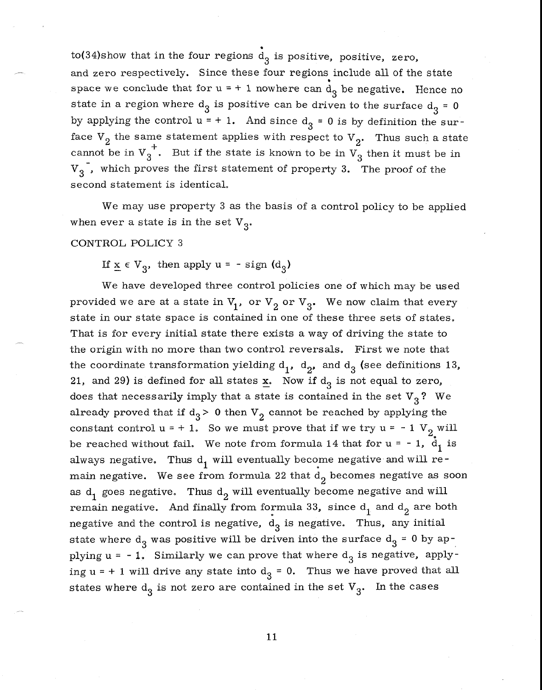to(34)show that in the four regions  $\mathring{\text{d}}_3$  is positive, positive, zero, and zero respectively. Since these four regions include all of the state space we conclude that for  $u = + 1$  nowhere can  $d_3$  be negative. Hence no state in a region where  $d_3$  is positive can be driven to the surface  $d_3 = 0$ by applying the control  $u = + 1$ . And since  $d_3 = 0$  is by definition the surface  $V_2$  the same statement applies with respect to  $V_2$ . Thus such a state cannot be in  $v_3^{\dagger}$ . But if the state is known to be in  $v_3^{\dagger}$  then it must be in  $V_3$ , which proves the first statement of property 3. The proof of the second statement is identical.

We may use property 3 as the basis of a control policy to be applied when ever a state is in the set  $V_3$ .

#### CONTROL POLICY 3

If  $x \in V_3$ , then apply  $u = - sign (d_3)$ 

We have developed three control policies one of which may be used provided we are at a state in  $V_1$ , or  $V_2$  or  $V_3$ . We now claim that every state in our state space is contained in one of these three sets of states. That is for every initial state there exists a way of driving the state to the origin with no more than two control reversals. First we note that the coordinate transformation yielding  $d_1$ ,  $d_2$ , and  $d_3$  (see definitions 13, 21, and 29) is defined for all states  $\underline{x}$ . Now if  $d_3$  is not equal to zero, does that necessarily imply that a state is contained in the set  $V<sub>3</sub>$ ? We already proved that if  $d_3$  > 0 then  $V_2$  cannot be reached by applying the constant control  $u = + 1$ . So we must prove that if we try  $u = -1$  V<sub>2</sub> will be reached without fail. We note from formula 14 that for  $u = -1$ ,  $\frac{d}{d_1}$  is always negative. Thus  $d_1$  will eventually become negative and will remain negative. We see from formula 22 that  $d_2$  becomes negative as soon as  $d_1$  goes negative. Thus  $d_2$  will eventually become negative and will remain negative. And finally from formula 33, since  $d_1$  and  $d_2$  are both negative and the control is negative,  $d_3$  is negative. Thus, any initial state where  $d_3$  was positive will be driven into the surface  $d_3 = 0$  by applying  $u = -1$ . Similarly we can prove that where  $d_3$  is negative, applying  $u = + 1$  will drive any state into  $d_3 = 0$ . Thus we have proved that all states where  $d_3$  is not zero are contained in the set  $V_3$ . In the cases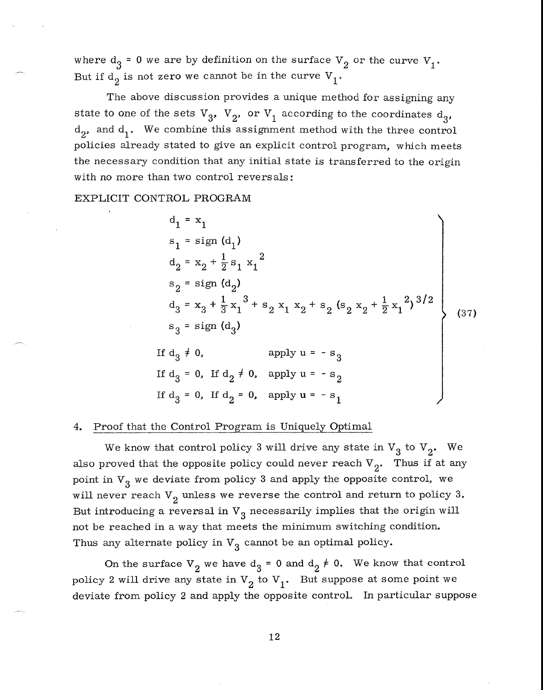where  $d_3$  = 0 we are by definition on the surface  $V_2$  or the curve  $V_1$ . But if  $d_2$  is not zero we cannot be in the curve  $V_1$ .

The above discussion provides a unique method for assigning any state to one of the sets  $V_3$ ,  $V_2$ , or  $V_1$  according to the coordinates  $d_3$ ,  $d_2$ , and  $d_1$ . We combine this assignment method with the three control policies already stated to give an explicit control program, which meets the necessary condition that any initial state is transferred to the origin with no more than two control reversals:

EXPLICIT CONTROL PROGRAM

$$
d_{1} = x_{1}
$$
\n
$$
s_{1} = sign (d_{1})
$$
\n
$$
d_{2} = x_{2} + \frac{1}{2} s_{1} x_{1}^{2}
$$
\n
$$
s_{2} = sign (d_{2})
$$
\n
$$
d_{3} = x_{3} + \frac{1}{3} x_{1}^{3} + s_{2} x_{1} x_{2} + s_{2} (s_{2} x_{2} + \frac{1}{2} x_{1}^{2})^{3/2}
$$
\n
$$
s_{3} = sign (d_{3})
$$
\nIf  $d_{3} \neq 0$ , apply  $u = -s_{3}$   
\nIf  $d_{3} = 0$ , If  $d_{2} \neq 0$ , apply  $u = -s_{2}$   
\nIf  $d_{3} = 0$ , If  $d_{2} = 0$ , apply  $u = -s_{1}$ 

#### 4. Proof that the Control Program is Uniquely Optimal

We know that control policy 3 will drive any state in  $V_3$  to  $V_2$ . We also proved that the opposite policy could never reach  $V_2$ . Thus if at any point in  $V_3$  we deviate from policy 3 and apply the opposite control, we will never reach  $V_2$  unless we reverse the control and return to policy 3. But introducing a reversal in  $V_3$  necessarily implies that the origin will not be reached in a way that meets the minimum switching condition. Thus any alternate policy in  $V_3$  cannot be an optimal policy.

On the surface  $V_2$  we have  $d_3 = 0$  and  $d_2 \neq 0$ . We know that control policy 2 will drive any state in  $V_2$  to  $V_1$ . But suppose at some point we deviate from policy 2 and apply the opposite control. In particular suppose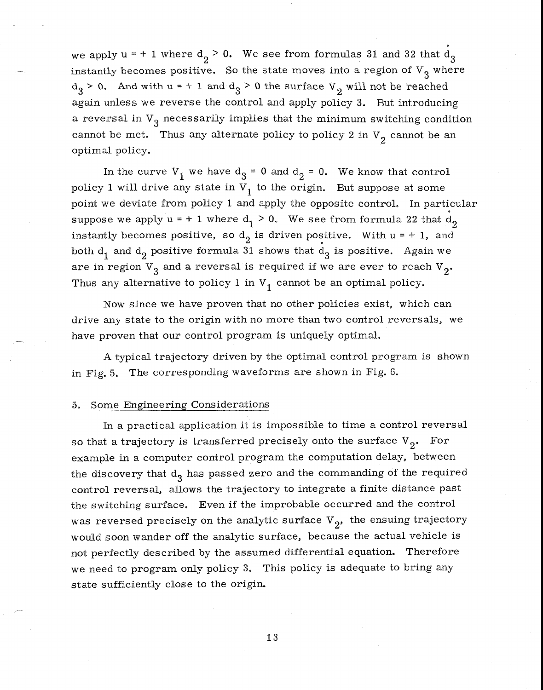we apply  $u = + 1$  where  $d_2 > 0$ . We see from formulas 31 and 32 that  $d_3$ instantly becomes positive. So the state moves into a region of  $V_3$  where  $d_3 > 0$ . And with  $u = +1$  and  $d_3 > 0$  the surface  $V_2$  will not be reached again unless we reverse the control and apply policy 3. But introducing a reversal in  $V_{3}$  necessarily implies that the minimum switching condition cannot be met. Thus any alternate policy to policy 2 in  $V_2$  cannot be an optimal policy.

In the curve  $V_1$  we have  $d_3 = 0$  and  $d_2 = 0$ . We know that control policy 1 will drive any state in  $V_1$  to the origin. But suppose at some point we deviate from policy 1 and apply the opposite control. In particular suppose we apply  $u = + 1$  where  $d_1 > 0$ . We see from formula 22 that  $d_2$ instantly becomes positive, so  $d_2$  is driven positive. With  $u = + 1$ , and both  $d_1$  and  $d_2$  positive formula 31 shows that  $d_3$  is positive. Again we are in region  $V_3$  and a reversal is required if we are ever to reach  $V_2$ . Thus any alternative to policy 1 in  $V_1$  cannot be an optimal policy.

Now since we have proven that no other policies exist, which can drive any state to the origin with no more than two control reversals, we have proven that our control program is uniquely optimal.

A typical trajectory driven by the optimal control program is shown in Fig. 5. The corresponding waveforms are shown in Fig. 6.

## 5. Some Engineering Considerations

In a practical application it is impossible to time a control reversal so that a trajectory is transferred precisely onto the surface  $V_2$ . For example in a computer control program the computation delay, between the discovery that  $d_3$  has passed zero and the commanding of the required control reversal, allows the trajectory to integrate a finite distance past the switching surface. Even if the improbable occurred and the control was reversed precisely on the analytic surface  $V_2$ , the ensuing trajectory would soon wander off the analytic surface, because the actual vehicle is not perfectly described by the assumed differential equation. Therefore we need to program only policy 3. This policy is adequate to bring any state sufficiently close to the origin.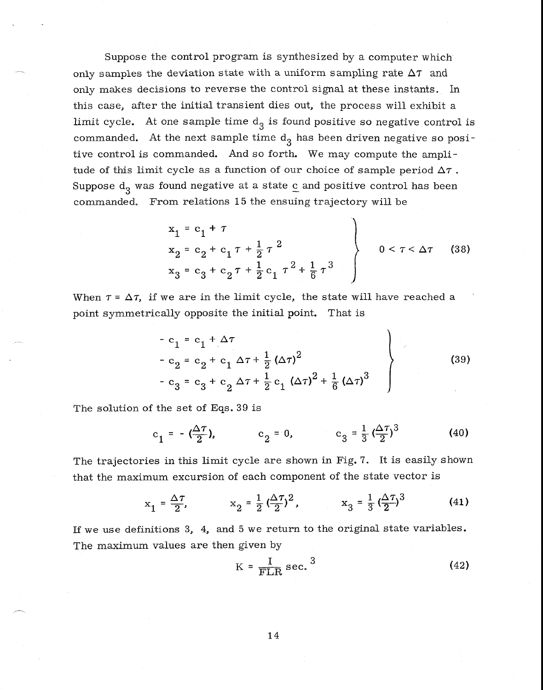Suppose the control program is synthesized by a computer which only samples the deviation state with a uniform sampling rate  $\Delta \tau$  and only makes decisions to reverse the control signal at these instants. In this case, after the initial transient dies out, the process will exhibit a limit cycle. At one sample time  $d_3$  is found positive so negative control is commanded. At the next sample time  $d_3$  has been driven negative so positive control is commanded. And so forth. We may compute the amplitude of this limit cycle as a function of our choice of sample period  $\Delta \tau$ . Suppose  $d_3$  was found negative at a state  $c$  and positive control has been commanded. From relations 15 the ensuing trajectory will be

$$
x_{1} = c_{1} + \tau
$$
  
\n
$$
x_{2} = c_{2} + c_{1} \tau + \frac{1}{2} \tau^{2}
$$
  
\n
$$
x_{3} = c_{3} + c_{2} \tau + \frac{1}{2} c_{1} \tau^{2} + \frac{1}{6} \tau^{3}
$$
  
\n
$$
0 < \tau < \Delta \tau
$$
 (38)

When  $\tau = \Delta \tau$ , if we are in the limit cycle, the state will have reached a point symmetrically opposite the initial point. That is

$$
- c_1 = c_1 + \Delta \tau
$$
  
\n
$$
- c_2 = c_2 + c_1 \Delta \tau + \frac{1}{2} (\Delta \tau)^2
$$
  
\n
$$
- c_3 = c_3 + c_2 \Delta \tau + \frac{1}{2} c_1 (\Delta \tau)^2 + \frac{1}{6} (\Delta \tau)^3
$$
\n(39)

The solution of the set of Eqs. 39 is

$$
c_1 = -(\frac{\Delta \tau}{2}),
$$
  $c_2 = 0,$   $c_3 = \frac{1}{3}(\frac{\Delta \tau}{2})^3$  (40)

The trajectories in this limit cycle are shown in Fig. 7. It is easily shown that the maximum excursion of each component of the state vector is

$$
x_1 = \frac{\Delta \tau}{2}
$$
,  $x_2 = \frac{1}{2} (\frac{\Delta \tau}{2})^2$ ,  $x_3 = \frac{1}{3} (\frac{\Delta \tau}{2})^3$  (41)

If we use definitions 3, 4, and 5 we return to the original state variables. The maximum values are then given by

$$
K = \frac{I}{FLR} \sec^3 \tag{42}
$$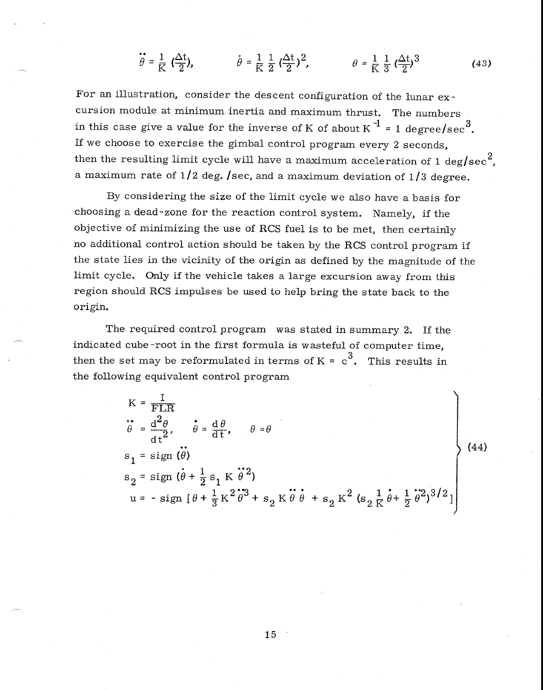$$
\ddot{\theta} = \frac{1}{K} \left( \frac{\Delta t}{2} \right), \qquad \dot{\theta} = \frac{1}{K} \frac{1}{2} \left( \frac{\Delta t}{2} \right)^2, \qquad \theta = \frac{1}{K} \frac{1}{3} \left( \frac{\Delta t}{2} \right)^3 \tag{43}
$$

For an illustration, consider the descent configuration of the lunar excursion module at minimum inertia and maximum thrust. The numbers in this case give a value for the inverse of K of about K<sup>-1</sup> = 1 degree/sec<sup>3</sup>. If we choose to exercise the gimbal control program every 2 seconds, then the resulting limit cycle will have a maximum acceleration of 1 deg/sec<sup>2</sup>, a maximum rate of  $1/2$  deg. /sec, and a maximum deviation of  $1/3$  degree.

By considering the size of the limit cycle we also have a basis for choosing a dead-zone for the reaction control system. Namely, if the objective of minimizing the use of RCS fuel is to be met, then certainly no additional control action should be taken by the RCS control program if the state lies in the vicinity of the origin as defined by the magnitude of the limit cycle. Only if the vehicle takes a large excursion away from this region should RCS impulses be used to help bring the state back to the origin.

The required control program was stated in summary 2. If the indicated cube-root in the first formula is wasteful of computer time, then the set may be reformulated in terms of  $K = c^3$ . This results in the following equivalent control program

$$
K = \frac{I}{FLR}
$$
  
\n
$$
\ddot{\theta} = \frac{d^{2}\theta}{dt^{2}}, \quad \dot{\theta} = \frac{d\theta}{dt}, \quad \theta = \theta
$$
  
\n
$$
s_{1} = sign(\dot{\theta})
$$
  
\n
$$
s_{2} = sign(\dot{\theta} + \frac{1}{2} s_{1} K \dot{\theta}^{2})
$$
  
\n
$$
u = - sign[\theta + \frac{1}{3} K^{2} \dot{\theta}^{3} + s_{2} K \dot{\theta} \dot{\theta} + s_{2} K^{2} (s_{2} \frac{1}{K} \dot{\theta} + \frac{1}{2} \dot{\theta}^{2})^{3/2}]
$$
\n(44)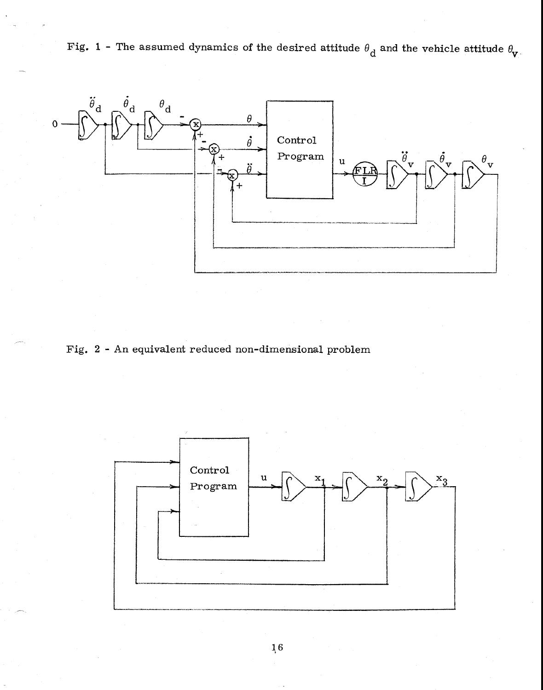Fig. 1 - The assumed dynamics of the desired attitude  $\theta_d$  and the vehicle attitude  $\theta_{V}$ .



Fig. 2 - An equivalent reduced non-dimensional problem

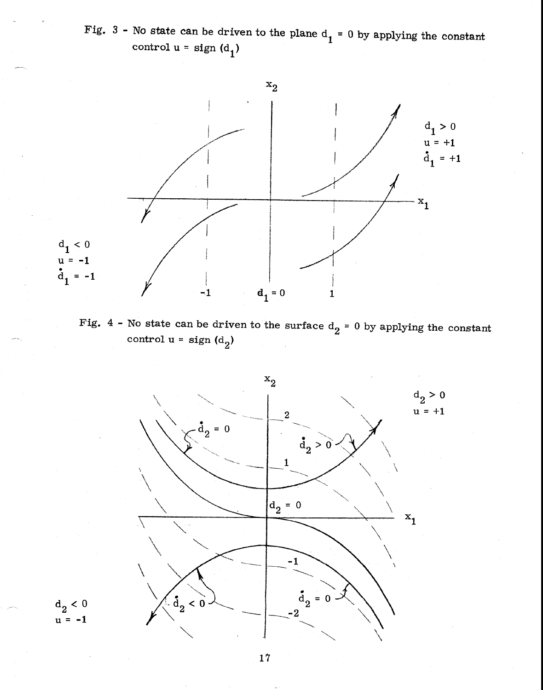Fig. 3 - No state can be driven to the plane  $d_1 = 0$  by applying the constant control  $u = sign(d_1)$ 



Fig. 4 - No state can be driven to the surface  $d_2 = 0$  by applying the constant control  $u = sign(d_2)$ 



 $1/2 < 0$  $u = -1$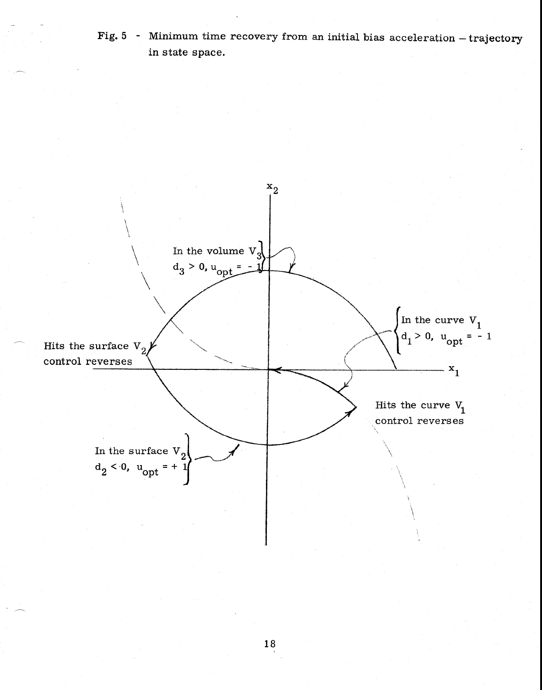Fig. 5 - Minimum time recovery from an initial bias acceleration — trajectory in state space.

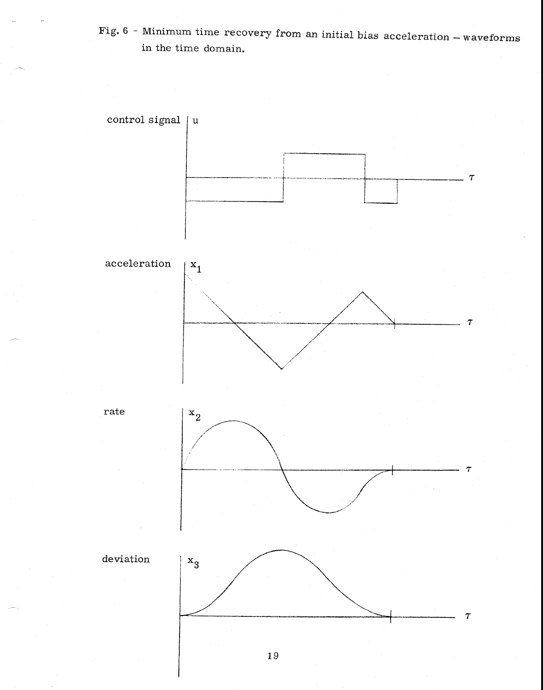Fig. 6 - Minimum time recovery from an initial bias acceleration — waveforms in the time domain,